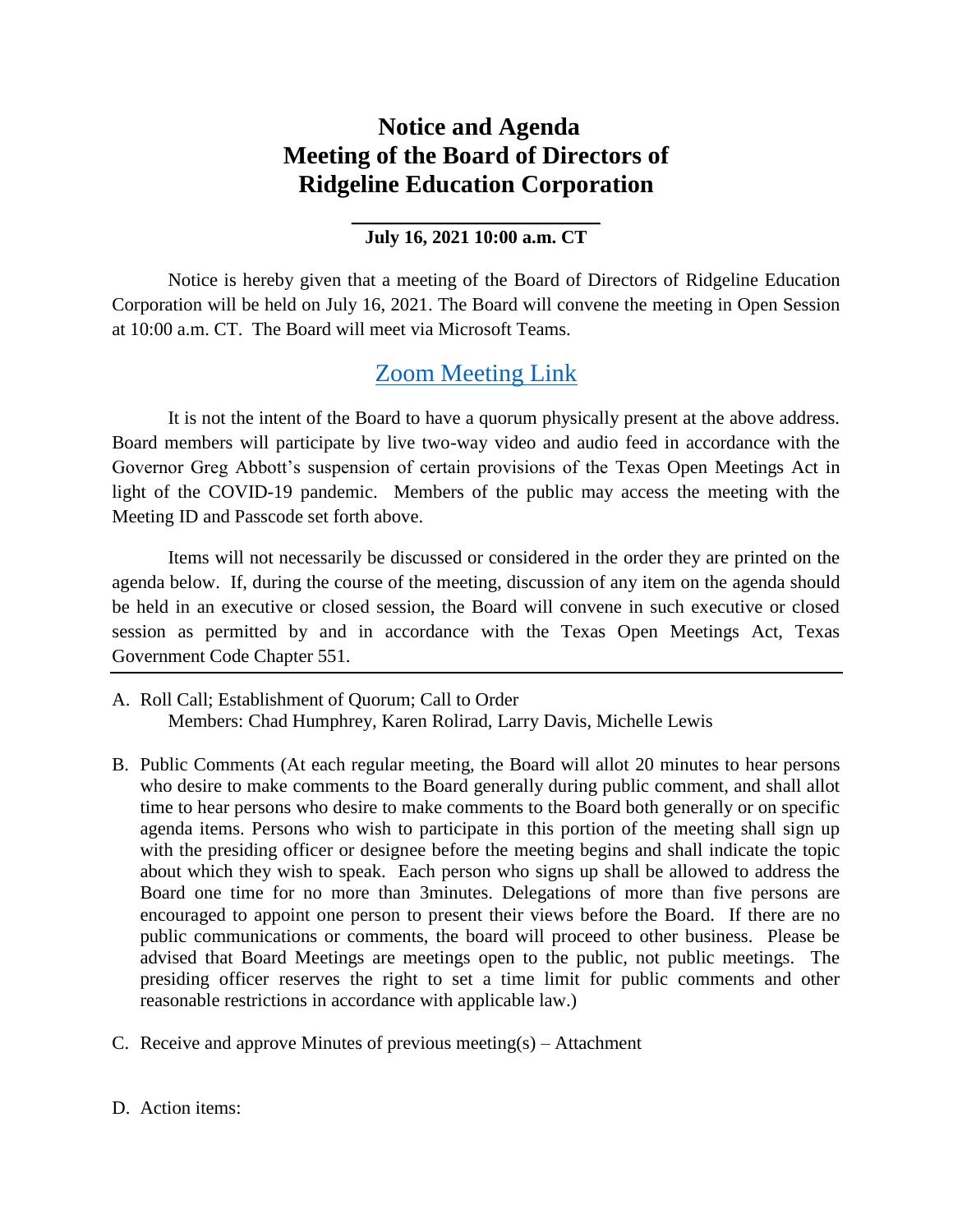## **Notice and Agenda Meeting of the Board of Directors of Ridgeline Education Corporation**

## **\_\_\_\_\_\_\_\_\_\_\_\_\_\_\_\_\_\_\_\_ July 16, 2021 10:00 a.m. CT**

Notice is hereby given that a meeting of the Board of Directors of Ridgeline Education Corporation will be held on July 16, 2021. The Board will convene the meeting in Open Session at 10:00 a.m. CT. The Board will meet via Microsoft Teams.

## [Zoom Meeting Link](https://zoom.us/j/92662504604?pwd=c0ZXQURCWTVsbFhVQ21YYUNFQTI5dz09)

It is not the intent of the Board to have a quorum physically present at the above address. Board members will participate by live two-way video and audio feed in accordance with the Governor Greg Abbott's suspension of certain provisions of the Texas Open Meetings Act in light of the COVID-19 pandemic. Members of the public may access the meeting with the Meeting ID and Passcode set forth above.

Items will not necessarily be discussed or considered in the order they are printed on the agenda below. If, during the course of the meeting, discussion of any item on the agenda should be held in an executive or closed session, the Board will convene in such executive or closed session as permitted by and in accordance with the Texas Open Meetings Act, Texas Government Code Chapter 551.

- A. Roll Call; Establishment of Quorum; Call to Order Members: Chad Humphrey, Karen Rolirad, Larry Davis, Michelle Lewis
- B. Public Comments (At each regular meeting, the Board will allot 20 minutes to hear persons who desire to make comments to the Board generally during public comment, and shall allot time to hear persons who desire to make comments to the Board both generally or on specific agenda items. Persons who wish to participate in this portion of the meeting shall sign up with the presiding officer or designee before the meeting begins and shall indicate the topic about which they wish to speak. Each person who signs up shall be allowed to address the Board one time for no more than 3minutes. Delegations of more than five persons are encouraged to appoint one person to present their views before the Board. If there are no public communications or comments, the board will proceed to other business. Please be advised that Board Meetings are meetings open to the public, not public meetings. The presiding officer reserves the right to set a time limit for public comments and other reasonable restrictions in accordance with applicable law.)
- C. Receive and approve Minutes of previous meeting(s) Attachment

D. Action items: